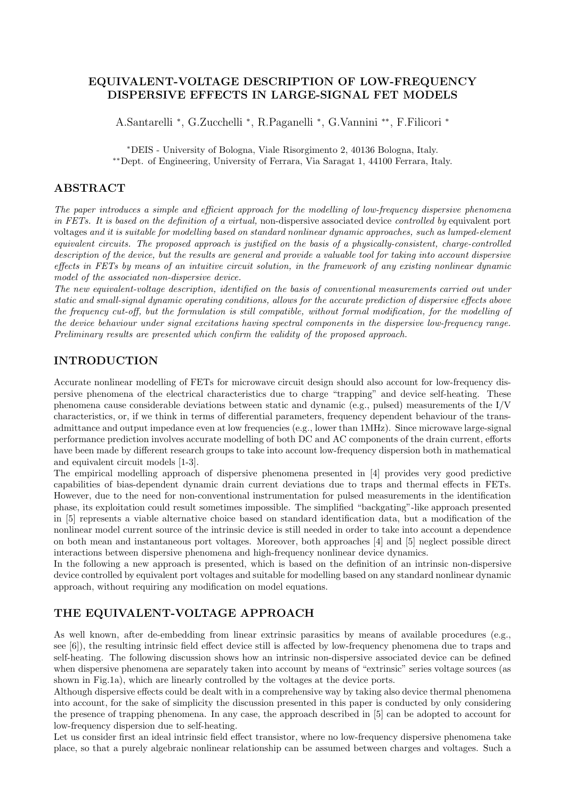# EQUIVALENT-VOLTAGE DESCRIPTION OF LOW-FREQUENCY DISPERSIVE EFFECTS IN LARGE-SIGNAL FET MODELS

A.Santarelli <sup>∗</sup> , G.Zucchelli <sup>∗</sup> , R.Paganelli <sup>∗</sup> , G.Vannini ∗∗ , F.Filicori <sup>∗</sup>

<sup>∗</sup>DEIS - University of Bologna, Viale Risorgimento 2, 40136 Bologna, Italy. ∗∗Dept. of Engineering, University of Ferrara, Via Saragat 1, 44100 Ferrara, Italy.

## ABSTRACT

The paper introduces a simple and efficient approach for the modelling of low-frequency dispersive phenomena in FETs. It is based on the definition of a virtual, non-dispersive associated device controlled by equivalent port voltages and it is suitable for modelling based on standard nonlinear dynamic approaches, such as lumped-element equivalent circuits. The proposed approach is justified on the basis of a physically-consistent, charge-controlled description of the device, but the results are general and provide a valuable tool for taking into account dispersive effects in FETs by means of an intuitive circuit solution, in the framework of any existing nonlinear dynamic model of the associated non-dispersive device.

The new equivalent-voltage description, identified on the basis of conventional measurements carried out under static and small-signal dynamic operating conditions, allows for the accurate prediction of dispersive effects above the frequency cut-off, but the formulation is still compatible, without formal modification, for the modelling of the device behaviour under signal excitations having spectral components in the dispersive low-frequency range. Preliminary results are presented which confirm the validity of the proposed approach.

### INTRODUCTION

Accurate nonlinear modelling of FETs for microwave circuit design should also account for low-frequency dispersive phenomena of the electrical characteristics due to charge "trapping" and device self-heating. These phenomena cause considerable deviations between static and dynamic (e.g., pulsed) measurements of the I/V characteristics, or, if we think in terms of differential parameters, frequency dependent behaviour of the transadmittance and output impedance even at low frequencies (e.g., lower than 1MHz). Since microwave large-signal performance prediction involves accurate modelling of both DC and AC components of the drain current, efforts have been made by different research groups to take into account low-frequency dispersion both in mathematical and equivalent circuit models [1-3].

The empirical modelling approach of dispersive phenomena presented in [4] provides very good predictive capabilities of bias-dependent dynamic drain current deviations due to traps and thermal effects in FETs. However, due to the need for non-conventional instrumentation for pulsed measurements in the identification phase, its exploitation could result sometimes impossible. The simplified "backgating"-like approach presented in [5] represents a viable alternative choice based on standard identification data, but a modification of the nonlinear model current source of the intrinsic device is still needed in order to take into account a dependence on both mean and instantaneous port voltages. Moreover, both approaches [4] and [5] neglect possible direct interactions between dispersive phenomena and high-frequency nonlinear device dynamics.

In the following a new approach is presented, which is based on the definition of an intrinsic non-dispersive device controlled by equivalent port voltages and suitable for modelling based on any standard nonlinear dynamic approach, without requiring any modification on model equations.

### THE EQUIVALENT-VOLTAGE APPROACH

As well known, after de-embedding from linear extrinsic parasitics by means of available procedures (e.g., see [6]), the resulting intrinsic field effect device still is affected by low-frequency phenomena due to traps and self-heating. The following discussion shows how an intrinsic non-dispersive associated device can be defined when dispersive phenomena are separately taken into account by means of "extrinsic" series voltage sources (as shown in Fig.1a), which are linearly controlled by the voltages at the device ports.

Although dispersive effects could be dealt with in a comprehensive way by taking also device thermal phenomena into account, for the sake of simplicity the discussion presented in this paper is conducted by only considering the presence of trapping phenomena. In any case, the approach described in [5] can be adopted to account for low-frequency dispersion due to self-heating.

Let us consider first an ideal intrinsic field effect transistor, where no low-frequency dispersive phenomena take place, so that a purely algebraic nonlinear relationship can be assumed between charges and voltages. Such a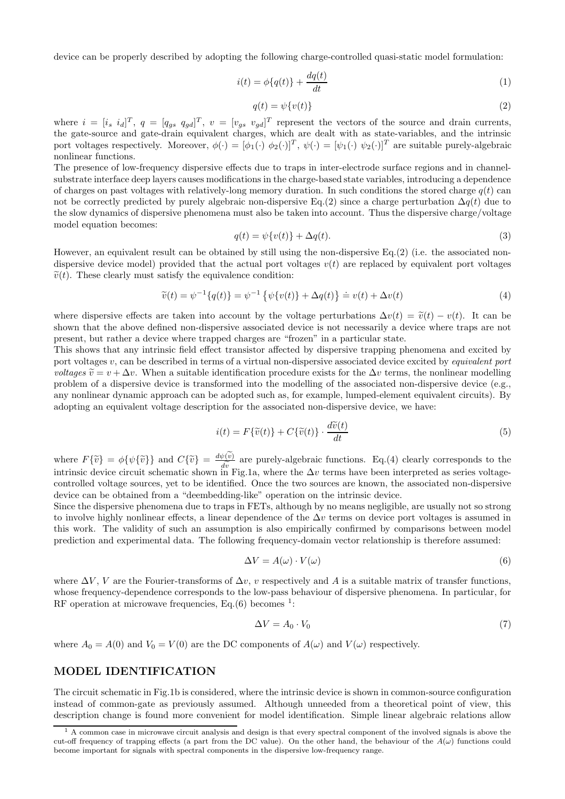device can be properly described by adopting the following charge-controlled quasi-static model formulation:

$$
i(t) = \phi\{q(t)\} + \frac{dq(t)}{dt} \tag{1}
$$

$$
q(t) = \psi\{v(t)\}\tag{2}
$$

where  $i = [i_s \ i_d]^T$ ,  $q = [q_{gs} \ q_{gd}]^T$ ,  $v = [v_{gs} \ v_{gd}]^T$  represent the vectors of the source and drain currents, the gate-source and gate-drain equivalent charges, which are dealt with as state-variables, and the intrinsic port voltages respectively. Moreover,  $\phi(\cdot) = [\phi_1(\cdot) \ \phi_2(\cdot)]^T$ ,  $\psi(\cdot) = [\psi_1(\cdot) \ \psi_2(\cdot)]^T$  are suitable purely-algebraic nonlinear functions.

The presence of low-frequency dispersive effects due to traps in inter-electrode surface regions and in channelsubstrate interface deep layers causes modifications in the charge-based state variables, introducing a dependence of charges on past voltages with relatively-long memory duration. In such conditions the stored charge  $q(t)$  can not be correctly predicted by purely algebraic non-dispersive Eq.(2) since a charge perturbation  $\Delta q(t)$  due to the slow dynamics of dispersive phenomena must also be taken into account. Thus the dispersive charge/voltage model equation becomes:

$$
q(t) = \psi\{v(t)\} + \Delta q(t). \tag{3}
$$

However, an equivalent result can be obtained by still using the non-dispersive Eq.(2) (i.e. the associated nondispersive device model) provided that the actual port voltages  $v(t)$  are replaced by equivalent port voltages  $\tilde{v}(t)$ . These clearly must satisfy the equivalence condition:

$$
\widetilde{v}(t) = \psi^{-1}\{q(t)\} = \psi^{-1}\{\psi\{v(t)\} + \Delta q(t)\} \doteq v(t) + \Delta v(t)
$$
\n(4)

where dispersive effects are taken into account by the voltage perturbations  $\Delta v(t) = \tilde{v}(t) - v(t)$ . It can be shown that the above defined non-dispersive associated device is not necessarily a device where traps are not present, but rather a device where trapped charges are "frozen" in a particular state.

This shows that any intrinsic field effect transistor affected by dispersive trapping phenomena and excited by port voltages  $v$ , can be described in terms of a virtual non-dispersive associated device excited by *equivalent port voltages*  $\tilde{v} = v + \Delta v$ . When a suitable identification procedure exists for the  $\Delta v$  terms, the nonlinear modelling problem of a dispersive device is transformed into the modelling of the associated non-dispersive device (e.g., any nonlinear dynamic approach can be adopted such as, for example, lumped-element equivalent circuits). By adopting an equivalent voltage description for the associated non-dispersive device, we have:

$$
i(t) = F\{\tilde{v}(t)\} + C\{\tilde{v}(t)\} \cdot \frac{d\tilde{v}(t)}{dt}
$$
\n<sup>(5)</sup>

where  $F\{\tilde{v}\} = \phi\{\psi\{\tilde{v}\}\}\$ and  $C\{\tilde{v}\} = \frac{d\psi(v)}{dv}$  $\frac{d\bar{w}}{dv}$  are purely-algebraic functions. Eq.(4) clearly corresponds to the  $\Delta v$  terms have been interpreted as series voltageintrinsic device circuit schematic shown in Fig.1a, where the  $\Delta v$  terms have been interpreted as series voltagecontrolled voltage sources, yet to be identified. Once the two sources are known, the associated non-dispersive device can be obtained from a "deembedding-like" operation on the intrinsic device.

Since the dispersive phenomena due to traps in FETs, although by no means negligible, are usually not so strong to involve highly nonlinear effects, a linear dependence of the  $\Delta v$  terms on device port voltages is assumed in this work. The validity of such an assumption is also empirically confirmed by comparisons between model prediction and experimental data. The following frequency-domain vector relationship is therefore assumed:

$$
\Delta V = A(\omega) \cdot V(\omega) \tag{6}
$$

where  $\Delta V$ , V are the Fourier-transforms of  $\Delta v$ , v respectively and A is a suitable matrix of transfer functions, whose frequency-dependence corresponds to the low-pass behaviour of dispersive phenomena. In particular, for RF operation at microwave frequencies, Eq. $(6)$  becomes <sup>1</sup>:

$$
\Delta V = A_0 \cdot V_0 \tag{7}
$$

where  $A_0 = A(0)$  and  $V_0 = V(0)$  are the DC components of  $A(\omega)$  and  $V(\omega)$  respectively.

#### MODEL IDENTIFICATION

The circuit schematic in Fig.1b is considered, where the intrinsic device is shown in common-source configuration instead of common-gate as previously assumed. Although unneeded from a theoretical point of view, this description change is found more convenient for model identification. Simple linear algebraic relations allow

 $<sup>1</sup>$  A common case in microwave circuit analysis and design is that every spectral component of the involved signals is above the</sup> cut-off frequency of trapping effects (a part from the DC value). On the other hand, the behaviour of the  $A(\omega)$  functions could become important for signals with spectral components in the dispersive low-frequency range.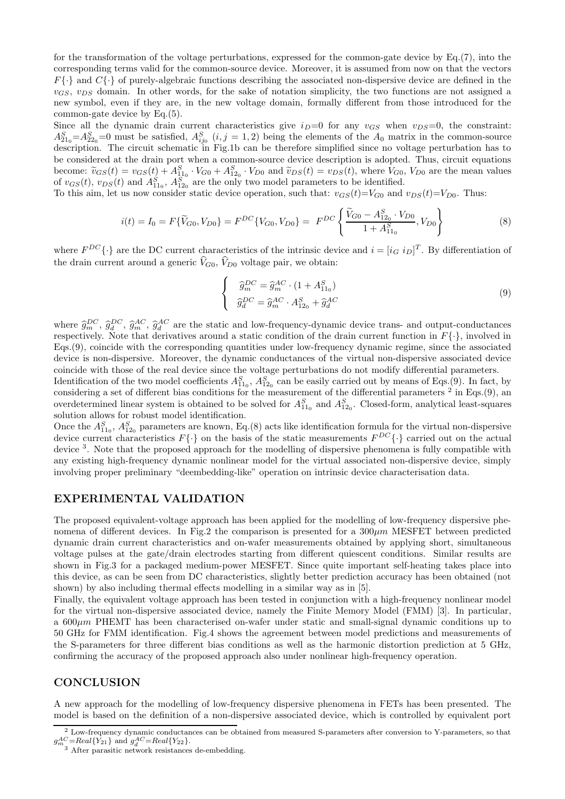for the transformation of the voltage perturbations, expressed for the common-gate device by Eq.(7), into the corresponding terms valid for the common-source device. Moreover, it is assumed from now on that the vectors  $F\{\cdot\}$  and  $C\{\cdot\}$  of purely-algebraic functions describing the associated non-dispersive device are defined in the  $v_{GS}$ ,  $v_{DS}$  domain. In other words, for the sake of notation simplicity, the two functions are not assigned a new symbol, even if they are, in the new voltage domain, formally different from those introduced for the common-gate device by Eq.(5).

Since all the dynamic drain current characteristics give  $i_D=0$  for any  $v_{GS}$  when  $v_{DS}=0$ , the constraint:  $A_{21_0}^S = A_{22_0}^S = 0$  must be satisfied,  $A_{ij_0}^S$   $(i, j = 1, 2)$  being the elements of the  $A_0$  matrix in the common-source description. The circuit schematic in Fig.1b can be therefore simplified since no voltage perturbation has to be considered at the drain port when a common-source device description is adopted. Thus, circuit equations become:  $\tilde{v}_{GS}(t) = v_{GS}(t) + A_{11_0}^S \cdot V_{G0} + A_{12_0}^S \cdot V_{D0}$  and  $\tilde{v}_{DS}(t) = v_{DS}(t)$ , where  $V_{G0}$ ,  $V_{D0}$  are the mean values of  $v_{GS}(t)$ ,  $v_{DS}(t)$  and  $A_{11_0}^S$ ,  $A_{12_0}^S$  are the only two model parameters to be

To this aim, let us now consider static device operation, such that:  $v_{GS}(t)=V_{G0}$  and  $v_{DS}(t)=V_{D0}$ . Thus:

$$
i(t) = I_0 = F\{\widetilde{V}_{G0}, V_{D0}\} = F^{DC}\{V_{G0}, V_{D0}\} = F^{DC}\left\{\frac{\widetilde{V}_{G0} - A_{12_0}^S \cdot V_{D0}}{1 + A_{11_0}^S}, V_{D0}\right\}
$$
(8)

where  $F^{DC} \{\cdot\}$  are the DC current characteristics of the intrinsic device and  $i = [i_G i_D]^T$ . By differentiation of the drain current around a generic  $\hat{V}_{G0}$ ,  $\hat{V}_{D0}$  voltage pair, we obtain:

$$
\begin{cases}\n\widehat{g}_m^{DC} = \widehat{g}_m^{AC} \cdot (1 + A_{11_0}^S) \\
\widehat{g}_d^{DC} = \widehat{g}_m^{AC} \cdot A_{12_0}^S + \widehat{g}_d^{AC}\n\end{cases}
$$
\n(9)

where  $\hat{g}_{DC}^{DC}$ ,  $\hat{g}_{AC}^{AC}$ ,  $\hat{g}_{AC}^{AC}$  are the static and low-frequency-dynamic device trans- and output-conductances respectively. Note that derivatives around a static condition of the drain current function in  $F\{\cdot\}$ , involved in Eqs.(9), coincide with the corresponding quantities under low-frequency dynamic regime, since the associated device is non-dispersive. Moreover, the dynamic conductances of the virtual non-dispersive associated device coincide with those of the real device since the voltage perturbations do not modify differential parameters.

Identification of the two model coefficients  $A_{11_0}^S$ ,  $A_{12_0}^S$  can be easily carried out by means of Eqs.(9). In fact, by considering a set of different bias conditions for the measurement of the differential parameters  $2$  in Eqs.(9), an overdetermined linear system is obtained to be solved for  $A_{11_0}^S$  and  $A_{12_0}^S$ . Closed-form, analytical least-squares solution allows for robust model identification.

Once the  $A_{11_0}^S$ ,  $A_{12_0}^S$  parameters are known, Eq.(8) acts like identification formula for the virtual non-dispersive device current characteristics  $F\{\cdot\}$  on the basis of the static measurements  $F^{DC}\{\cdot\}$  carried out on the actual device <sup>3</sup>. Note that the proposed approach for the modelling of dispersive phenomena is fully compatible with any existing high-frequency dynamic nonlinear model for the virtual associated non-dispersive device, simply involving proper preliminary "deembedding-like" operation on intrinsic device characterisation data.

### EXPERIMENTAL VALIDATION

The proposed equivalent-voltage approach has been applied for the modelling of low-frequency dispersive phenomena of different devices. In Fig.2 the comparison is presented for a  $300 \mu m$  MESFET between predicted dynamic drain current characteristics and on-wafer measurements obtained by applying short, simultaneous voltage pulses at the gate/drain electrodes starting from different quiescent conditions. Similar results are shown in Fig.3 for a packaged medium-power MESFET. Since quite important self-heating takes place into this device, as can be seen from DC characteristics, slightly better prediction accuracy has been obtained (not shown) by also including thermal effects modelling in a similar way as in [5].

Finally, the equivalent voltage approach has been tested in conjunction with a high-frequency nonlinear model for the virtual non-dispersive associated device, namely the Finite Memory Model (FMM) [3]. In particular, a 600µm PHEMT has been characterised on-wafer under static and small-signal dynamic conditions up to 50 GHz for FMM identification. Fig.4 shows the agreement between model predictions and measurements of the S-parameters for three different bias conditions as well as the harmonic distortion prediction at 5 GHz, confirming the accuracy of the proposed approach also under nonlinear high-frequency operation.

### **CONCLUSION**

A new approach for the modelling of low-frequency dispersive phenomena in FETs has been presented. The model is based on the definition of a non-dispersive associated device, which is controlled by equivalent port

<sup>2</sup> Low-frequency dynamic conductances can be obtained from measured S-parameters after conversion to Y-parameters, so that  $g_m^{AC} = Real{\lbrace Y_{21} \rbrace}$  and  $g_d^{AC} = Real{\lbrace Y_{22} \rbrace}$ .<br><sup>3</sup> After parasitic network resistances de-embedding.